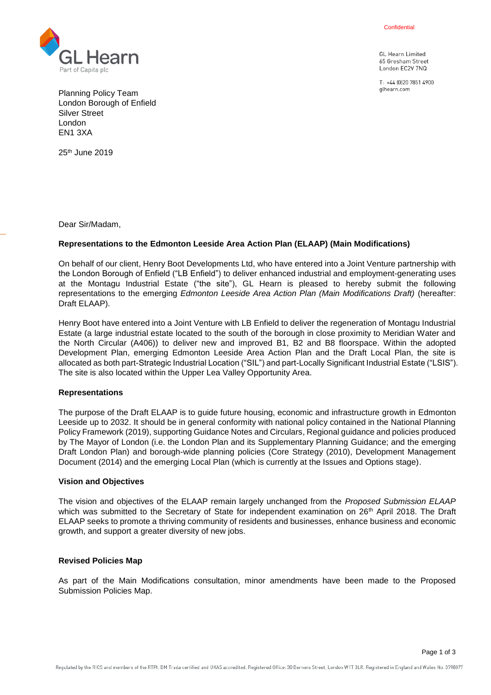Confidential

**GL Hearn Limited** 65 Gresham Street London EC2V 7NQ

T: +44 (0120 7851 4900) alhearn.com



Planning Policy Team London Borough of Enfield Silver Street London EN1 3XA

25th June 2019

Dear Sir/Madam,

## **Representations to the Edmonton Leeside Area Action Plan (ELAAP) (Main Modifications)**

On behalf of our client, Henry Boot Developments Ltd, who have entered into a Joint Venture partnership with the London Borough of Enfield ("LB Enfield") to deliver enhanced industrial and employment-generating uses at the Montagu Industrial Estate ("the site"), GL Hearn is pleased to hereby submit the following representations to the emerging *Edmonton Leeside Area Action Plan (Main Modifications Draft)* (hereafter: Draft ELAAP).

Henry Boot have entered into a Joint Venture with LB Enfield to deliver the regeneration of Montagu Industrial Estate (a large industrial estate located to the south of the borough in close proximity to Meridian Water and the North Circular (A406)) to deliver new and improved B1, B2 and B8 floorspace. Within the adopted Development Plan, emerging Edmonton Leeside Area Action Plan and the Draft Local Plan, the site is allocated as both part-Strategic Industrial Location ("SIL") and part-Locally Significant Industrial Estate ("LSIS"). The site is also located within the Upper Lea Valley Opportunity Area.

#### **Representations**

The purpose of the Draft ELAAP is to guide future housing, economic and infrastructure growth in Edmonton Leeside up to 2032. It should be in general conformity with national policy contained in the National Planning Policy Framework (2019), supporting Guidance Notes and Circulars, Regional guidance and policies produced by The Mayor of London (i.e. the London Plan and its Supplementary Planning Guidance; and the emerging Draft London Plan) and borough-wide planning policies (Core Strategy (2010), Development Management Document (2014) and the emerging Local Plan (which is currently at the Issues and Options stage).

#### **Vision and Objectives**

The vision and objectives of the ELAAP remain largely unchanged from the *Proposed Submission ELAAP* which was submitted to the Secretary of State for independent examination on 26<sup>th</sup> April 2018. The Draft ELAAP seeks to promote a thriving community of residents and businesses, enhance business and economic growth, and support a greater diversity of new jobs.

#### **Revised Policies Map**

As part of the Main Modifications consultation, minor amendments have been made to the Proposed Submission Policies Map.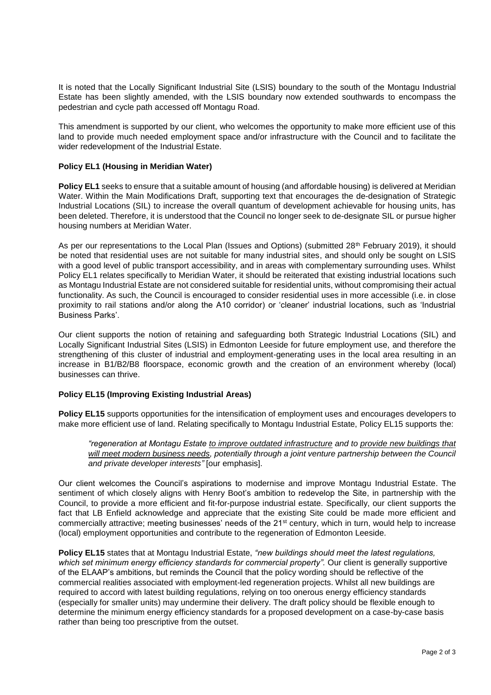It is noted that the Locally Significant Industrial Site (LSIS) boundary to the south of the Montagu Industrial Estate has been slightly amended, with the LSIS boundary now extended southwards to encompass the pedestrian and cycle path accessed off Montagu Road.

This amendment is supported by our client, who welcomes the opportunity to make more efficient use of this land to provide much needed employment space and/or infrastructure with the Council and to facilitate the wider redevelopment of the Industrial Estate.

## **Policy EL1 (Housing in Meridian Water)**

**Policy EL1** seeks to ensure that a suitable amount of housing (and affordable housing) is delivered at Meridian Water. Within the Main Modifications Draft, supporting text that encourages the de-designation of Strategic Industrial Locations (SIL) to increase the overall quantum of development achievable for housing units, has been deleted. Therefore, it is understood that the Council no longer seek to de-designate SIL or pursue higher housing numbers at Meridian Water.

As per our representations to the Local Plan (Issues and Options) (submitted 28<sup>th</sup> February 2019), it should be noted that residential uses are not suitable for many industrial sites, and should only be sought on LSIS with a good level of public transport accessibility, and in areas with complementary surrounding uses. Whilst Policy EL1 relates specifically to Meridian Water, it should be reiterated that existing industrial locations such as Montagu Industrial Estate are not considered suitable for residential units, without compromising their actual functionality. As such, the Council is encouraged to consider residential uses in more accessible (i.e. in close proximity to rail stations and/or along the A10 corridor) or 'cleaner' industrial locations, such as 'Industrial Business Parks'.

Our client supports the notion of retaining and safeguarding both Strategic Industrial Locations (SIL) and Locally Significant Industrial Sites (LSIS) in Edmonton Leeside for future employment use, and therefore the strengthening of this cluster of industrial and employment-generating uses in the local area resulting in an increase in B1/B2/B8 floorspace, economic growth and the creation of an environment whereby (local) businesses can thrive.

## **Policy EL15 (Improving Existing Industrial Areas)**

**Policy EL15** supports opportunities for the intensification of employment uses and encourages developers to make more efficient use of land. Relating specifically to Montagu Industrial Estate, Policy EL15 supports the:

*"regeneration at Montagu Estate to improve outdated infrastructure and to provide new buildings that*  will meet modern business needs, potentially through a joint venture partnership between the Council *and private developer interests"* [our emphasis].

Our client welcomes the Council's aspirations to modernise and improve Montagu Industrial Estate. The sentiment of which closely aligns with Henry Boot's ambition to redevelop the Site, in partnership with the Council, to provide a more efficient and fit-for-purpose industrial estate. Specifically, our client supports the fact that LB Enfield acknowledge and appreciate that the existing Site could be made more efficient and commercially attractive; meeting businesses' needs of the 21st century, which in turn, would help to increase (local) employment opportunities and contribute to the regeneration of Edmonton Leeside.

**Policy EL15** states that at Montagu Industrial Estate, *"new buildings should meet the latest regulations,*  which set minimum energy efficiency standards for commercial property". Our client is generally supportive of the ELAAP's ambitions, but reminds the Council that the policy wording should be reflective of the commercial realities associated with employment-led regeneration projects. Whilst all new buildings are required to accord with latest building regulations, relying on too onerous energy efficiency standards (especially for smaller units) may undermine their delivery. The draft policy should be flexible enough to determine the minimum energy efficiency standards for a proposed development on a case-by-case basis rather than being too prescriptive from the outset.